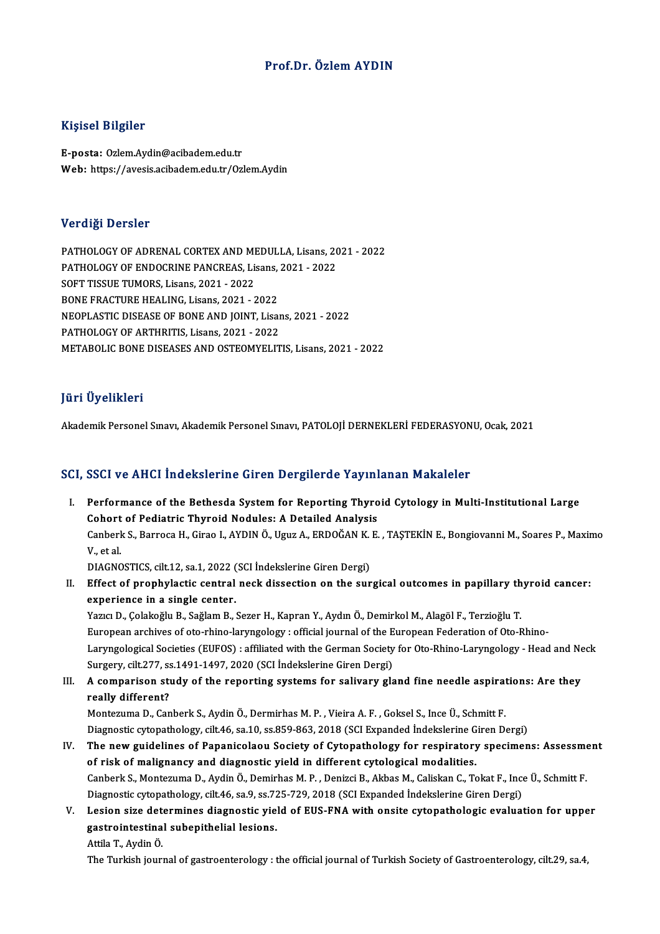### Prof.Dr. ÖzlemAYDIN

#### Kişisel Bilgiler

E-posta: Ozlem.Aydin@acibadem.edu.tr Web: https://avesis.acibadem.edu.tr/Ozlem.Aydin

#### Verdiği Dersler

Verdiği Dersler<br>PATHOLOGY OF ADRENAL CORTEX AND MEDULLA, Lisans, 2021 - 2022<br>PATHOLOGY OF ENDOCRINE PANCREAS, Lisans, 2021 - 2022 VOLTINE DOLOCE<br>PATHOLOGY OF ADRENAL CORTEX AND MEDULLA, Lisans, 20<br>PATHOLOGY OF ENDOCRINE PANCREAS, Lisans, 2021 - 2022<br>SOFT TISSUE TUMOPS, Lisans, 2021, 2022 PATHOLOGY OF ADRENAL CORTEX AND MI<br>PATHOLOGY OF ENDOCRINE PANCREAS, Lis<br>SOFT TISSUE TUMORS, Lisans, 2021 - 2022<br>PONE ERACTURE HEALING, Lisans, 2021 PATHOLOGY OF ENDOCRINE PANCREAS, Lisans, 2021 - 2022<br>SOFT TISSUE TUMORS, Lisans, 2021 - 2022<br>BONE FRACTURE HEALING, Lisans, 2021 - 2022 NEOPLASTIC DISEASE OF BONE AND JOINT, Lisans, 2021 - 2022 PATHOLOGY OF ARTHRITIS, Lisans, 2021 - 2022 METABOLIC BONE DISEASES AND OSTEOMYELITIS, Lisans, 2021 - 2022

### JüriÜyelikleri

Akademik Personel Sınavı, Akademik Personel Sınavı, PATOLOJİ DERNEKLERİ FEDERASYONU, Ocak, 2021

#### SCI, SSCI ve AHCI İndekslerine Giren Dergilerde Yayınlanan Makaleler

CI, SSCI ve AHCI İndekslerine Giren Dergilerde Yayınlanan Makaleler<br>I. Performance of the Bethesda System for Reporting Thyroid Cytology in Multi-Institutional Large<br>Cobert of Bedietric Thyroid Nedyles: A Detailed Analys Cohort of The Bethesda System for Reporting Thyro<br>Cohort of Pediatric Thyroid Nodules: A Detailed Analysis<br>Canhark S. Barroca H. Circo L. ANDIN Ö. Haur A. EPDOČAN K. E Performance of the Bethesda System for Reporting Thyroid Cytology in Multi-Institutional Large<br>Cohort of Pediatric Thyroid Nodules: A Detailed Analysis<br>Canberk S., Barroca H., Girao I., AYDIN Ö., Uguz A., ERDOĞAN K. E. , T Cohort<br>Canberl<br>V., et al.<br>DIACNC Canberk S., Barroca H., Girao I., AYDIN Ö., Uguz A., ERDOĞAN K.<br>V., et al.<br>DIAGNOSTICS, cilt.12, sa.1, 2022 (SCI İndekslerine Giren Dergi)<br>Fffest of prephylastic sentral peek dissestion on the sur

V., et al.<br>DIAGNOSTICS, cilt.12, sa.1, 2022 (SCI İndekslerine Giren Dergi)<br>II. Effect of prophylactic central neck dissection on the surgical outcomes in papillary thyroid cancer:<br>avnoriance in a single center DIAGNOSTICS, cilt.12, sa.1, 2022 (SCI İndekslerine Giren Dergi)<br>Effect of prophylactic central neck dissection on the surgical outcomes in papillary th<br>experience in a single center.<br>Yazıcı D., Colakoğlu B., Sağlam B., Sez Effect of prophylactic central neck dissection on the surgical outcomes in papillary th<br>experience in a single center.<br>Yazıcı D., Çolakoğlu B., Sağlam B., Sezer H., Kapran Y., Aydın Ö., Demirkol M., Alagöl F., Terzioğlu T.

European archives of oto-rhino-laryngology : official journal of the European Federation of Oto-Rhino-Yazıcı D., Çolakoğlu B., Sağlam B., Sezer H., Kapran Y., Aydın Ö., Demirkol M., Alagöl F., Terzioğlu T.<br>European archives of oto-rhino-laryngology : official journal of the European Federation of Oto-Rhino-<br>Laryngological European archives of oto-rhino-laryngology : official journal of the E<br>Laryngological Societies (EUFOS) : affiliated with the German Society<br>Surgery, cilt.277, ss.1491-1497, 2020 (SCI İndekslerine Giren Dergi)<br>A semnerisar Laryngological Societies (EUFOS) : affiliated with the German Society for Oto-Rhino-Laryngology - Head and Ne<br>Surgery, cilt.277, ss.1491-1497, 2020 (SCI İndekslerine Giren Dergi)<br>III. A comparison study of the reporting sy

Surgery, cilt.277, ss.1491-1497, 2020 (SCI Indekslerine Giren Dergi)<br>III. A comparison study of the reporting systems for salivary gland fine needle aspirations: Are they<br>really different?

MontezumaD.,CanberkS.,AydinÖ.,DermirhasM.P. ,VieiraA.F. ,GokselS., InceÜ.,Schmit F. really different?<br>Montezuma D., Canberk S., Aydin Ö., Dermirhas M. P. , Vieira A. F. , Goksel S., Ince Ü., Schmitt F.<br>Diagnostic cytopathology, cilt.46, sa.10, ss.859-863, 2018 (SCI Expanded İndekslerine Giren Dergi)<br>The n Montezuma D., Canberk S., Aydin Ö., Dermirhas M. P. , Vieira A. F. , Goksel S., Ince Ü., Schmitt F.<br>Diagnostic cytopathology, cilt.46, sa.10, ss.859-863, 2018 (SCI Expanded Indekslerine Giren Dergi)<br>IV. The new guidelines

- Diagnostic cytopathology, cilt.46, sa.10, ss.859-863, 2018 (SCI Expanded Indekslerine G<br>The new guidelines of Papanicolaou Society of Cytopathology for respiratory<br>of risk of malignancy and diagnostic yield in different cy The new guidelines of Papanicolaou Society of Cytopathology for respiratory specimens: Assessme<br>of risk of malignancy and diagnostic yield in different cytological modalities.<br>Canberk S., Montezuma D., Aydin Ö., Demirhas M of risk of malignancy and diagnostic yield in different cytological modalities.<br>Canberk S., Montezuma D., Aydin Ö., Demirhas M. P. , Denizci B., Akbas M., Caliskan C., Tokat F., Inc.<br>Diagnostic cytopathology, cilt.46, sa.9 Canberk S., Montezuma D., Aydin Ö., Demirhas M. P. , Denizci B., Akbas M., Caliskan C., Tokat F., Ince Ü., Schmitt F.<br>Diagnostic cytopathology, cilt.46, sa.9, ss.725-729, 2018 (SCI Expanded Indekslerine Giren Dergi)<br>V. Les
- Diagnostic cytopathology, cilt.46, sa.9, ss.72<br>Lesion size determines diagnostic yie.<br>gastrointestinal subepithelial lesions. Lesion size det<br>gastrointestina<br>Attila T., Aydin Ö.<br>The Turkish jour gastrointestinal subepithelial lesions.<br>Attila T., Aydin Ö.<br>The Turkish journal of gastroenterology : the official journal of Turkish Society of Gastroenterology, cilt.29, sa.4,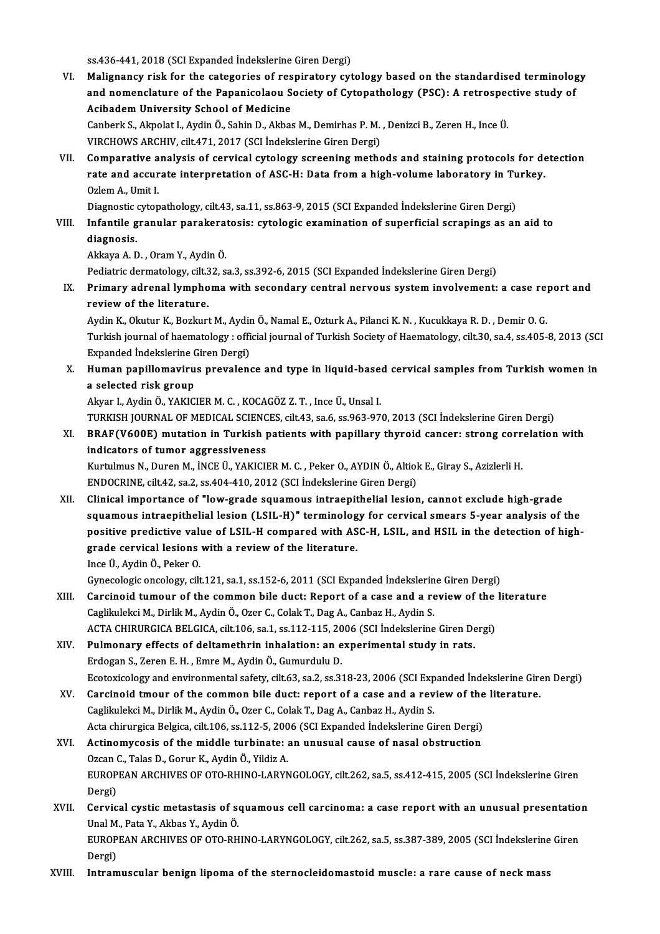ss.436-441, 2018 (SCI Expanded İndekslerine Giren Dergi)

VI. Malignancy risk for the categories of respiratory cytology based on the standardised terminology ss.436-441, 2018 (SCI Expanded İndekslerine Giren Dergi)<br>Malignancy risk for the categories of respiratory cytology based on the standardised terminolog<br>and nomenclature of the Papanicolaou Society of Cytopathology (PSC): Malignancy risk for the categories of res<br>and nomenclature of the Papanicolaou S<br>Acibadem University School of Medicine<br>Canhark S. Almalat L. Ardin Ö. Sabin D. Althes and nomenclature of the Papanicolaou Society of Cytopathology (PSC): A retrosped<br>Acibadem University School of Medicine<br>Canberk S., Akpolat I., Aydin Ö., Sahin D., Akbas M., Demirhas P. M. , Denizci B., Zeren H., Ince Ü.<br>V

Acibadem University School of Medicine<br>Canberk S., Akpolat I., Aydin Ö., Sahin D., Akbas M., Demirhas P. M. , Denizci B., Zeren H., Ince Ü.<br>VIRCHOWS ARCHIV, cilt.471, 2017 (SCI İndekslerine Giren Dergi)

Canberk S., Akpolat I., Aydin Ö., Sahin D., Akbas M., Demirhas P. M. , Denizci B., Zeren H., Ince Ü.<br>VIRCHOWS ARCHIV, cilt471, 2017 (SCI İndekslerine Giren Dergi)<br>VII. Comparative analysis of cervical cytology screening me VIRCHOWS ARCHIV, cilt.471, 2017 (SCI İndekslerine Giren Dergi)<br>Comparative analysis of cervical cytology screening methods and staining protocols for de<br>rate and accurate interpretation of ASC-H: Data from a high-volume la Comparative a<br>rate and accur<br>Ozlem A., Umit I.<br>Diamestis atten rate and accurate interpretation of ASC-H: Data from a high-volume laboratory in Tu<br>Ozlem A., Umit I.<br>Diagnostic cytopathology, cilt.43, sa.11, ss.863-9, 2015 (SCI Expanded İndekslerine Giren Dergi)<br>Infontile granular pere

## Ozlem A., Umit I.<br>Diagnostic cytopathology, cilt.43, sa.11, ss.863-9, 2015 (SCI Expanded İndekslerine Giren Dergi)<br>VIII. Infantile granular parakeratosis: cytologic examination of superficial scrapings as an aid to Diagnostic<br>Infantile g<br>diagnosis. I<mark>nfantile granular parakera</mark><br>diagnosis.<br>Akkaya A. D. , Oram Y., Aydin Ö.<br>Pediatris dermatelegy. silt 32–3 diagnosis.<br>Akkaya A. D. , Oram Y., Aydin Ö.<br>Pediatric dermatology, cilt.32, sa.3, ss.392-6, 2015 (SCI Expanded İndekslerine Giren Dergi)<br>Primany adrenal lymnhoma with secondary sentral nerveys system invelvement:

Akkaya A. D. , Oram Y., Aydin Ö.<br>Pediatric dermatology, cilt.32, sa.3, ss.392-6, 2015 (SCI Expanded İndekslerine Giren Dergi)<br>IX. Primary adrenal lymphoma with secondary central nervous system involvement: a case repor Pediatric dermatology, cilt.<br>Primary adrenal lympho<br>review of the literature. Primary adrenal lymphoma with secondary central nervous system involvement: a case re<sub>l</sub><br>review of the literature.<br>Aydin K., Okutur K., Bozkurt M., Aydin Ö., Namal E., Ozturk A., Pilanci K. N. , Kucukkaya R. D. , Demir O.

review of the literature.<br>Aydin K., Okutur K., Bozkurt M., Aydin Ö., Namal E., Ozturk A., Pilanci K. N. , Kucukkaya R. D. , Demir O. G.<br>Turkish journal of haematology : official journal of Turkish Society of Haematology, c Aydin K., Okutur K., Bozkurt M., Aydir<br>Turkish journal of haematology : offi<br>Expanded İndekslerine Giren Dergi)<br>Human nanillamayinus nnavalanı Turkish journal of haematology : official journal of Turkish Society of Haematology, cilt.30, sa.4, ss.405-8, 2013 (SC<br>Expanded Indekslerine Giren Dergi)<br>X. Human papillomavirus prevalence and type in liquid-based cervical

Expanded Indekslerine (<br>Human papillomaviru<br>a selected risk group<br>Alver L Avdin Ö, YAKIC Human papillomavirus prevalence and type in liquid-base<br>a selected risk group<br>Akyar I., Aydin Ö., YAKICIER M. C. , KOCAGÖZ Z. T. , Ince Ü., Unsal I.<br>TURKISH JOURNAL OF MEDICAL SCIENCES silt 42 sa 6 sa 962 97 a selected risk group<br>Akyar I., Aydin Ö., YAKICIER M. C. , KOCAGÖZ Z. T. , Ince Ü., Unsal I.<br>TURKISH JOURNAL OF MEDICAL SCIENCES, cilt.43, sa.6, ss.963-970, 2013 (SCI İndekslerine Giren Dergi)<br>PRAE(V600E) mutation in Turki

# Akyar I., Aydin Ö., YAKICIER M. C. , KOCAGÖZ Z. T. , Ince Ü., Unsal I.<br>TURKISH JOURNAL OF MEDICAL SCIENCES, cilt43, sa.6, ss.963-970, 2013 (SCI İndekslerine Giren Dergi)<br>XI. BRAF(V600E) mutation in Turkish patients with pa TURKISH JOURNAL OF MEDICAL SCIENC<br>BRAF(V600E) mutation in Turkish <sub>l</sub><br>indicators of tumor aggressiveness<br><sup>Kurtulmuc N. Durop M. INCE (I. VAKICU</sup> BRAF(V600E) mutation in Turkish patients with papillary thyroid cancer: strong corr<br>indicators of tumor aggressiveness<br>Kurtulmus N., Duren M., İNCE Ü., YAKICIER M. C. , Peker O., AYDIN Ö., Altiok E., Giray S., Azizlerli H.

indicators of tumor aggressiveness<br>Kurtulmus N., Duren M., İNCE Ü., YAKICIER M. C. , Peker O., AYDIN Ö., Altiok E., Giray S., Azizlerli H.<br>ENDOCRINE, cilt.42, sa.2, ss.404-410, 2012 (SCI İndekslerine Giren Dergi)

XII. Clinical importance of "low-grade squamous intraepithelial lesion, cannot exclude high-grade ENDOCRINE, cilt.42, sa.2, ss.404-410, 2012 (SCI İndekslerine Giren Dergi)<br>Clinical importance of "low-grade squamous intraepithelial lesion, cannot exclude high-grade<br>squamous intraepithelial lesion (LSIL-H)" terminology f Clinical importance of "low-grade squamous intraepithelial lesion, cannot exclude high-grade<br>squamous intraepithelial lesion (LSIL-H)" terminology for cervical smears 5-year analysis of the<br>positive predictive value of LSI squamous intraepithelial lesion (LSIL-H)" terminolog<br>positive predictive value of LSIL-H compared with AS<br>grade cervical lesions with a review of the literature.<br>Ince <sup>it</sup>, Avdin Ö. Peken O. positive predictive value of LSIL-H compared with ASC-H, LSIL, and HSIL in the detection of high-<br>grade cervical lesions with a review of the literature.<br>Ince Ü., Aydin Ö., Peker O.

Gynecologic oncology, cilt.121, sa.1, ss.152-6, 2011 (SCI Expanded İndekslerine Giren Dergi)

- XIII. Carcinoid tumour of the common bile duct: Report of a case and a review of the literature Caglikulekci M., Dirlik M., Aydin Ö., Ozer C., Colak T., Dag A., Canbaz H., Aydin S. ACTA CHIRURGICA BELGICA, cilt.106, sa.1, ss.112-115, 2006 (SCI İndekslerine Giren Dergi)
- XIV. Pulmonary effects of deltamethrin inhalation: an experimental study in rats. Erdogan S., Zeren E. H., Emre M., Aydin Ö., Gumurdulu D. Pulmonary effects of deltamethrin inhalation: an experimental study in rats.<br>Erdogan S., Zeren E. H. , Emre M., Aydin Ö., Gumurdulu D.<br>Ecotoxicology and environmental safety, cilt.63, sa.2, ss.318-23, 2006 (SCI Expanded İn Erdogan S., Zeren E. H., Emre M., Aydin Ö., Gumurdulu D.<br>Ecotoxicology and environmental safety, cilt.63, sa.2, ss.318-23, 2006 (SCI Expanded Indekslerine Gire<br>XV. Carcinoid tmour of the common bile duct: report of a case
- XV. Carcinoid tmour of the common bile duct: report of a case and a review of the literature.<br>Caglikulekci M., Dirlik M., Aydin Ö., Ozer C., Colak T., Dag A., Canbaz H., Aydin S. Carcinoid tmour of the common bile duct: report of a case and a review of the<br>Caglikulekci M., Dirlik M., Aydin Ö., Ozer C., Colak T., Dag A., Canbaz H., Aydin S.<br>Acta chirurgica Belgica, cilt.106, ss.112-5, 2006 (SCI Expa
- XVI. Actinomycosis of themiddle turbinate: an unusual cause of nasal obstruction Acta chirurgica Belgica, cilt.106, ss.112-5, 200<br>Actinomycosis of the middle turbinate: :<br>Ozcan C., Talas D., Gorur K., Aydin Ö., Yildiz A.<br>FUROPEAN ARCHIVES OF OTO PHINO LAPYN EUROPEAN ARCHIVES OF OTO-RHINO-LARYNGOLOGY, cilt.262, sa.5, ss.412-415, 2005 (SCI İndekslerine Giren<br>Dergi) Ozcan C., Talas D., Gorur K., Aydin Ö., Yildiz A. EUROPEAN ARCHIVES OF OTO-RHINO-LARYNGOLOGY, cilt.262, sa.5, ss.412-415, 2005 (SCI İndekslerine Giren<br>Dergi)<br>XVII. Cervical cystic metastasis of squamous cell carcinoma: a case report with an unusual presentation<br>Unal M. Pe
- Dergi)<br>Cervical cystic metastasis of so<br>Unal M., Pata Y., Akbas Y., Aydin Ö.<br>FUROPEAN ARCHIVES OF OTO PH Cervical cystic metastasis of squamous cell carcinoma: a case report with an unusual presentatio<br>Unal M., Pata Y., Akbas Y., Aydin Ö.<br>EUROPEAN ARCHIVES OF OTO-RHINO-LARYNGOLOGY, cilt.262, sa.5, ss.387-389, 2005 (SCI İndeks Unal M., Pata Y., Akbas Y., Aydin Ö.<br>EUROPEAN ARCHIVES OF OTO-RHINO-LARYNGOLOGY, cilt.262, sa.5, ss.387-389, 2005 (SCI İndekslerine Giren<br>Dergi)
- XVIII. Intramuscular benign lipoma of the sternocleidomastoid muscle: a rare cause of neck mass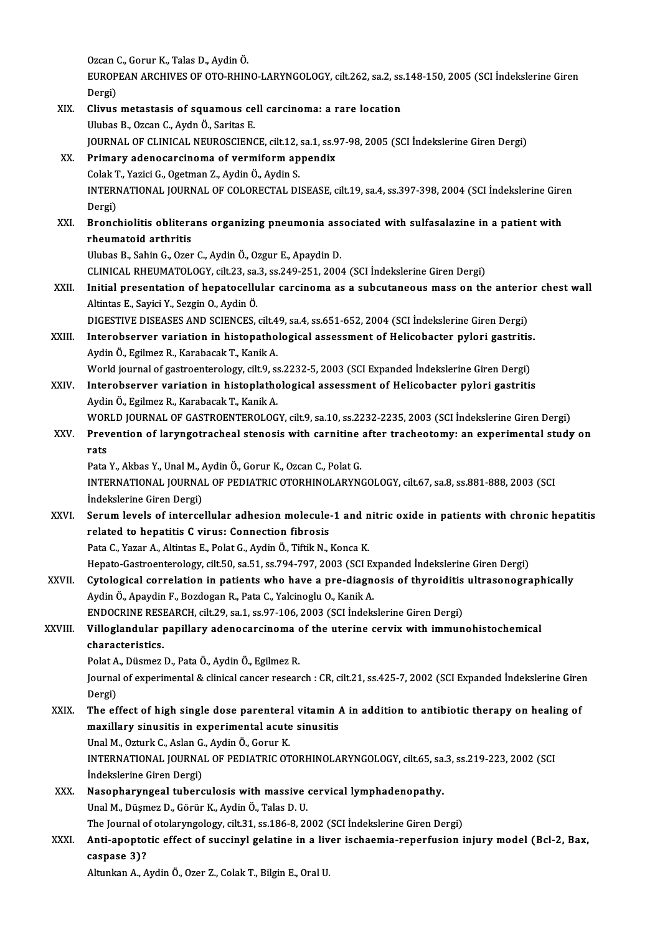Ozcan C., Gorur K., Talas D., Aydin Ö.<br>FUROPEAN ARCHIVES OF OTO PHIN EUROPEAN ARCHIVES OF OTO-RHINO-LARYNGOLOGY, cilt.262, sa.2, ss.148-150, 2005 (SCI İndekslerine Giren<br>Dergi) Ozcan (<br>EUROP<br>Dergi)<br>Clime EUROPEAN ARCHIVES OF OTO-RHINO-LARYNGOLOGY, cilt.262, sa.2, ss<br>Dergi)<br>XIX. Clivus metastasis of squamous cell carcinoma: a rare location<br>Illubes B. Ozean C. Ayda Ö. Saritas E Dergi)<br>Clivus metastasis of squamous ce<br>Ulubas B., Ozcan C., Aydn Ö., Saritas E.<br>JOUPMAL OE CLINICAL NEUPOSCIENC Ulubas B., Ozcan C., Aydn Ö., Saritas E.<br>JOURNAL OF CLINICAL NEUROSCIENCE, cilt.12, sa.1, ss.97-98, 2005 (SCI İndekslerine Giren Dergi) Ulubas B., Ozcan C., Aydn Ö., Saritas E.<br>JOURNAL OF CLINICAL NEUROSCIENCE, cilt.12, sa.1, ss.9<br>XX. Primary adenocarcinoma of vermiform appendix<br>Colak T. Varisi C. Ozstman Z. Aydin Ö. Aydin S. JOURNAL OF CLINICAL NEUROSCIENCE, cilt.12,<br>Primary adenocarcinoma of vermiform ap<br>Colak T., Yazici G., Ogetman Z., Aydin Ö., Aydin S.<br>INTERNATIONAL JOURNAL OF COLORECTAL DI Primary adenocarcinoma of vermiform appendix<br>Colak T., Yazici G., Ogetman Z., Aydin Ö., Aydin S.<br>INTERNATIONAL JOURNAL OF COLORECTAL DISEASE, cilt.19, sa.4, ss.397-398, 2004 (SCI İndekslerine Giren<br>Persi) Colak T<br>INTERI<br>Dergi)<br>Pronal INTERNATIONAL JOURNAL OF COLORECTAL DISEASE, cilt.19, sa.4, ss.397-398, 2004 (SCI İndekslerine Gire<br>Dergi)<br>XXI. Bronchiolitis obliterans organizing pneumonia associated with sulfasalazine in a patient with<br>rhoumateid orthr Dergi)<br>Bronchiolitis oblitera<br>rheumatoid arthritis<br><sup>Illubes B. Sobin C. Ozen</sup> Bronchiolitis obliterans organizing pneumonia ass<br>rheumatoid arthritis<br>Ulubas B., Sahin G., Ozer C., Aydin Ö., Ozgur E., Apaydin D.<br>CLINICAL RHEUMATOLOCY, silt 22, 23, 28,240,251, 200. rheumatoid arthritis<br>Ulubas B., Sahin G., Ozer C., Aydin Ö., Ozgur E., Apaydin D.<br>CLINICAL RHEUMATOLOGY, cilt.23, sa.3, ss.249-251, 2004 (SCI İndekslerine Giren Dergi)<br>Initial presentation of benetesellular serginema as a Ulubas B., Sahin G., Ozer C., Aydin Ö., Ozgur E., Apaydin D.<br>CLINICAL RHEUMATOLOGY, cilt.23, sa.3, ss.249-251, 2004 (SCI İndekslerine Giren Dergi)<br>XXII. Initial presentation of hepatocellular carcinoma as a subcutaneous ma CLINICAL RHEUMATOLOGY, cilt.23, sa.<br>Initial presentation of hepatocellu<br>Altintas E., Sayici Y., Sezgin O., Aydin Ö.<br>DICESTIVE DISEASES AND SCIENCES Initial presentation of hepatocellular carcinoma as a subcutaneous mass on the anteric<br>Altintas E., Sayici Y., Sezgin O., Aydin Ö.<br>DIGESTIVE DISEASES AND SCIENCES, cilt.49, sa.4, ss.651-652, 2004 (SCI İndekslerine Giren De Altintas E., Sayici Y., Sezgin O., Aydin Ö.<br>DIGESTIVE DISEASES AND SCIENCES, cilt.49, sa.4, ss.651-652, 2004 (SCI İndekslerine Giren Dergi)<br>XXIII. Interobserver variation in histopathological assessment of Helicobacter pyl DIGESTIVE DISEASES AND SCIENCES, cilt.4<br>Interobserver variation in histopatho<br>Aydin Ö., Egilmez R., Karabacak T., Kanik A.<br>World iournal of gastroonterology, cilt Q. 34 Interobserver variation in histopathological assessment of Helicobacter pylori gastritis<br>Aydin Ö., Egilmez R., Karabacak T., Kanik A.<br>World journal of gastroenterology, cilt.9, ss.2232-5, 2003 (SCI Expanded İndekslerine Gi Aydin Ö., Egilmez R., Karabacak T., Kanik A.<br>World journal of gastroenterology, cilt.9, ss.2232-5, 2003 (SCI Expanded Indekslerine Giren Dergi)<br>XXIV. Interobserver variation in histoplathological assessment of Helicobacter World journal of gastroenterology, cilt.9, s:<br>Interobserver variation in histoplatho<br>Aydin Ö., Egilmez R., Karabacak T., Kanik A.<br>WORLD JOURNAL OF CASTROENTEROLOC Interobserver variation in histoplathological assessment of Helicobacter pylori gastritis<br>Aydin Ö., Egilmez R., Karabacak T., Kanik A.<br>WORLD JOURNAL OF GASTROENTEROLOGY, cilt.9, sa.10, ss.2232-2235, 2003 (SCI İndekslerine Aydin Ö., Egilmez R., Karabacak T., Kanik A.<br>WORLD JOURNAL OF GASTROENTEROLOGY, cilt.9, sa.10, ss.2232-2235, 2003 (SCI İndekslerine Giren Dergi)<br>XXV. Prevention of laryngotracheal stenosis with carnitine after tracheot WOR<br>Prev<br>rats<br><sup>Poto</sup> XXV. Prevention of laryngotracheal stenosis with carnitine after tracheotomy: an experimental study on rats INTERNATIONAL JOURNAL OF PEDIATRIC OTORHINOLARYNGOLOGY, cilt.67, sa.8, ss.881-888, 2003 (SCI<br>İndekslerine Giren Dergi) Pata Y., Akbas Y., Unal M., Aydin Ö., Gorur K., Ozcan C., Polat G. INTERNATIONAL JOURNAL OF PEDIATRIC OTORHINOLARYNGOLOGY, cilt.67, sa.8, ss.881-888, 2003 (SCI<br>Indekslerine Giren Dergi)<br>XXVI. Serum levels of intercellular adhesion molecule-1 and nitric oxide in patients with chronic hepat Indekslerine Giren Dergi)<br>Serum levels of intercellular adhesion molecule-<br>related to hepatitis C virus: Connection fibrosis<br>Peta C. Yegar A. Altintes E. Polet C. Audin Ö. Tiftik N. 1 Serum levels of intercellular adhesion molecule-1 and n<br>related to hepatitis C virus: Connection fibrosis<br>Pata C., Yazar A., Altintas E., Polat G., Aydin Ö., Tiftik N., Konca K.<br>Hanata Costreonterology silt 50 se 51 se 704 related to hepatitis C virus: Connection fibrosis<br>Pata C., Yazar A., Altintas E., Polat G., Aydin Ö., Tiftik N., Konca K.<br>Hepato-Gastroenterology, cilt.50, sa.51, ss.794-797, 2003 (SCI Expanded İndekslerine Giren Dergi) Pata C., Yazar A., Altintas E., Polat G., Aydin Ö., Tiftik N., Konca K.<br>Hepato-Gastroenterology, cilt.50, sa.51, ss.794-797, 2003 (SCI Expanded Indekslerine Giren Dergi)<br>XXVII. Cytological correlation in patients who have Aydin Ö., Apaydin F., Bozdogan R., Pata C., Yalcinoglu O., Kanik A. Cytological correlation in patients who have a pre-diagnosis of thyroiditis<br>Aydin Ö., Apaydin F., Bozdogan R., Pata C., Yalcinoglu O., Kanik A.<br>ENDOCRINE RESEARCH, cilt.29, sa.1, ss.97-106, 2003 (SCI İndekslerine Giren Der XXVIII. Villoglandular papillary adenocarcinoma of the uterine cervix with immunohistochemical<br>characteristics. ENDOCRINE RESEARCH, cilt.29, sa.1, ss.97-106, 2003 (SCI İndekslerine Giren Dergi) Villoglandular papillary adenocarcinoma o<br>characteristics.<br>Polat A., Düsmez D., Pata Ö., Aydin Ö., Egilmez R.<br>Journal of evnorimental & clinical cancer resear Journal of experimental & clinical cancer research : CR, cilt.21, ss.425-7, 2002 (SCI Expanded İndekslerine Giren<br>Dergi) Polat A<br>Journal<br>Dergi)<br>The ef XXIX. The effect of high single dose parenteral vitamin A in addition to antibiotic therapy on healing of Dergi)<br>The effect of high single dose parenteral vitamin *l*<br>maxillary sinusitis in experimental acute sinusitis<br>Unal M. Orturk C. Aslan C. Aydin Ö. Corur K The effect of high single dose parentera<br>maxillary sinusitis in experimental acute<br>Unal M., Ozturk C., Aslan G., Aydin Ö., Gorur K.<br>INTERNATIONAL JOURNAL OF REDIATRIC OT maxillary sinusitis in experimental acute sinusitis<br>Unal M., Ozturk C., Aslan G., Aydin Ö., Gorur K.<br>INTERNATIONAL JOURNAL OF PEDIATRIC OTORHINOLARYNGOLOGY, cilt.65, sa.3, ss.219-223, 2002 (SCI<br>Indekslerine Ciren Dergi) Unal M., Ozturk C., Aslan G.<br>INTERNATIONAL JOURNA<br>İndekslerine Giren Dergi)<br>Nasanharungaal tuhara INTERNATIONAL JOURNAL OF PEDIATRIC OTORHINOLARYNGOLOGY, cilt.65, sa.<br>
indekslerine Giren Dergi)<br>XXX. Nasopharyngeal tuberculosis with massive cervical lymphadenopathy.<br>
Unel M. Düsmar D. Görün K. Audin Ö. Take D. U. İndekslerine Giren Dergi)<br>Nasopharyngeal tuberculosis with massive cervical lymphadenopathy.<br>Unal M., Düşmez D., Görür K., Aydin Ö., Talas D. U. Nasopharyngeal tuberculosis with massive cervical lymphadenopathy.<br>Unal M., Düşmez D., Görür K., Aydin Ö., Talas D. U.<br>The Journal of otolaryngology, cilt.31, ss.186-8, 2002 (SCI İndekslerine Giren Dergi)<br>Anti-apoptatis of XXXI. Anti-apoptotic effect of succinyl gelatine in a liver ischaemia-reperfusion injury model (Bcl-2, Bax, caspase 3)? The Journal o<br>Anti-apopto<br>caspase 3)?<br>Alturkan A. A Altunkan A., Aydin Ö., Ozer Z., Colak T., Bilgin E., Oral U.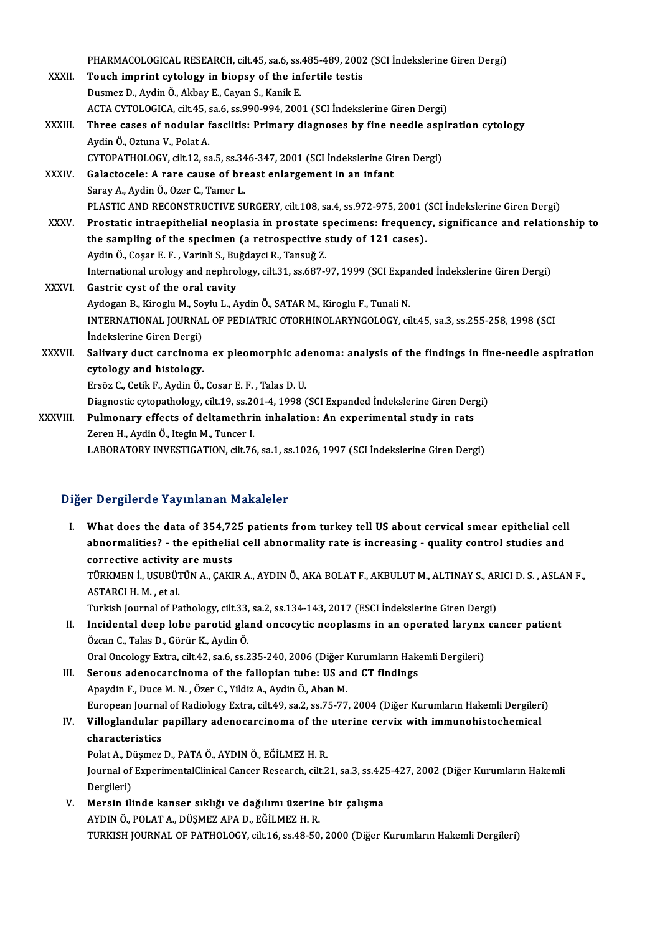|              | PHARMACOLOGICAL RESEARCH, cilt.45, sa.6, ss.485-489, 2002 (SCI Indekslerine Giren Dergi)               |
|--------------|--------------------------------------------------------------------------------------------------------|
| XXXII.       | Touch imprint cytology in biopsy of the infertile testis                                               |
|              | Dusmez D., Aydin Ö., Akbay E., Cayan S., Kanik E.                                                      |
|              | ACTA CYTOLOGICA, cilt.45, sa.6, ss.990-994, 2001 (SCI Indekslerine Giren Dergi)                        |
| XXXIII.      | Three cases of nodular fasciitis: Primary diagnoses by fine needle aspiration cytology                 |
|              | Aydin Ö., Oztuna V., Polat A.                                                                          |
|              | CYTOPATHOLOGY, cilt.12, sa.5, ss.346-347, 2001 (SCI Indekslerine Giren Dergi)                          |
| XXXIV.       | Galactocele: A rare cause of breast enlargement in an infant                                           |
|              | Saray A., Aydin Ö., Ozer C., Tamer L.                                                                  |
|              | PLASTIC AND RECONSTRUCTIVE SURGERY, cilt.108, sa.4, ss.972-975, 2001 (SCI Indekslerine Giren Dergi)    |
| <b>XXXV</b>  | Prostatic intraepithelial neoplasia in prostate specimens: frequency, significance and relationship to |
|              | the sampling of the specimen (a retrospective study of 121 cases).                                     |
|              | Aydin Ö., Coşar E. F., Varinli S., Buğdayci R., Tansuğ Z.                                              |
|              | International urology and nephrology, cilt.31, ss.687-97, 1999 (SCI Expanded İndekslerine Giren Dergi) |
| <b>XXXVI</b> | Gastric cyst of the oral cavity                                                                        |
|              | Aydogan B., Kiroglu M., Soylu L., Aydin Ö., SATAR M., Kiroglu F., Tunali N.                            |
|              | INTERNATIONAL JOURNAL OF PEDIATRIC OTORHINOLARYNGOLOGY, cilt.45, sa.3, ss.255-258, 1998 (SCI           |
|              | İndekslerine Giren Dergi)                                                                              |
| XXXVII.      | Salivary duct carcinoma ex pleomorphic adenoma: analysis of the findings in fine-needle aspiration     |
|              | cytology and histology.                                                                                |
|              | Ersöz C., Cetik F., Aydin Ö., Cosar E. F., Talas D. U.                                                 |
|              | Diagnostic cytopathology, cilt.19, ss.201-4, 1998 (SCI Expanded Indekslerine Giren Dergi)              |
| XXXVIII.     | Pulmonary effects of deltamethrin inhalation: An experimental study in rats                            |
|              | Zeren H., Aydin Ö., Itegin M., Tuncer I.                                                               |
|              | LABORATORY INVESTIGATION, cilt.76, sa.1, ss.1026, 1997 (SCI Indekslerine Giren Dergi)                  |
|              |                                                                                                        |

#### Diğer Dergilerde Yayınlanan Makaleler

- Iger Dergilerde Yayınlanan Makaleler<br>I. What does the data of 354,725 patients from turkey tell US about cervical smear epithelial cell<br>Abnormalities? the epithelial cell abnormality rate is increasing avality sentral stud aborginities? The intended mandities?<br>What does the data of 354,725 patients from turkey tell US about cervical smear epithelial cel<br>abnormalities? - the epithelial cell abnormality rate is increasing - quality control stu What does the data of 354,72<br>abnormalities? - the epithelia<br>corrective activity are musts<br>TÜRKAEN LUSUPÜTÜN A. CAKI abnormalities? - the epithelial cell abnormality rate is increasing - quality control studies and<br>corrective activity are musts<br>TÜRKMEN İ., USUBÜTÜN A., ÇAKIR A., AYDIN Ö., AKA BOLAT F., AKBULUT M., ALTINAY S., ARICI D. S. corrective activity<br>TÜRKMEN İ., USUBÜT<br>ASTARCI H. M. , et al.<br>Turkish Journal of Ba TÜRKMEN İ., USUBÜTÜN A., ÇAKIR A., AYDIN Ö., AKA BOLAT F., AKBULUT M., ALTINAY S., AR<br>ASTARCI H. M. , et al.<br>Turkish Journal of Pathology, cilt.33, sa.2, ss.134-143, 2017 (ESCI İndekslerine Giren Dergi)<br>Insidentel deen leb ASTARCI H. M. , et al.<br>Turkish Journal of Pathology, cilt.33, sa.2, ss.134-143, 2017 (ESCI İndekslerine Giren Dergi)<br>II. Incidental deep lobe parotid gland oncocytic neoplasms in an operated larynx cancer patient<br>Özeon G. Turkish Journal of Pathology, cilt.33,<br>Incidental deep lobe parotid gla<br>Özcan C., Talas D., Görür K., Aydin Ö.<br>Oral Onselegy Eytre, silt 42, sa 6, sa 3 Incidental deep lobe parotid gland oncocytic neoplasms in an operated larynx<br>Özcan C., Talas D., Görür K., Aydin Ö.<br>Oral Oncology Extra, cilt.42, sa.6, ss.235-240, 2006 (Diğer Kurumların Hakemli Dergileri)<br>Sereus adenesars Özcan C., Talas D., Görür K., Aydin Ö.<br>Oral Oncology Extra, cilt.42, sa.6, ss.235-240, 2006 (Diğer Kurumların Hake<br>III. Serous adenocarcinoma of the fallopian tube: US and CT findings<br>Apaydin E. Duce M. N., Özer C. Vildir Oral Oncology Extra, cilt.42, sa.6, ss.235-240, 2006 (Diğer l<br>Serous adenocarcinoma of the fallopian tube: US ar<br>Apaydin F., Duce M. N. , Özer C., Yildiz A., Aydin Ö., Aban M.<br>European Journal of Padiology Eytre, cilt.49, Apaydin F., Duce M. N. , Özer C., Yildiz A., Aydin Ö., Aban M.<br>European Journal of Radiology Extra, cilt.49, sa.2, ss.75-77, 2004 (Diğer Kurumların Hakemli Dergileri) Apaydin F., Duce M. N. , Özer C., Yildiz A., Aydin Ö., Aban M.<br>European Journal of Radiology Extra, cilt.49, sa.2, ss.75-77, 2004 (Diğer Kurumların Hakemli Dergileri<br>IV. Villoglandular papillary adenocarcinoma of the u
- European Journa<br>Vill<mark>oglandular</mark><br>characteristics<br><sup>Rolot A</sup>. Düsmer Villoglandular papillary adenocarcinoma of the<br>characteristics<br>Polat A., Düşmez D., PATA Ö., AYDIN Ö., EĞİLMEZ H. R.<br>Journal of EunerimentelClinical Cancer Bessarsh, silt 2

characteristics<br>Polat A., Düşmez D., PATA Ö., AYDIN Ö., EĞİLMEZ H. R.<br>Journal of ExperimentalClinical Cancer Research, cilt.21, sa.3, ss.425-427, 2002 (Diğer Kurumların Hakemli<br>Persileri) Polat A., D<br>Journal of<br>Dergileri)<br>Monsin ili Journal of ExperimentalClinical Cancer Research, cilt.21, sa.3, ss.42!<br>Dergileri)<br>V. Mersin ilinde kanser sıklığı ve dağılımı üzerine bir çalışma<br>AVDIN Ö. POLATA, DÜSMEZARA D. EĞİLMEZH P.

Dergileri)<br>1991 - V. Mersin ilinde kanser sıklığı ve dağılımı üzerine bir çalışma<br>1991-AYDIN Ö., POLAT A., DÜŞMEZ APA D., EĞİLMEZ H. R. TURKISH JOURNAL OF PATHOLOGY, cilt.16, ss.48-50, 2000 (Diğer Kurumların Hakemli Dergileri)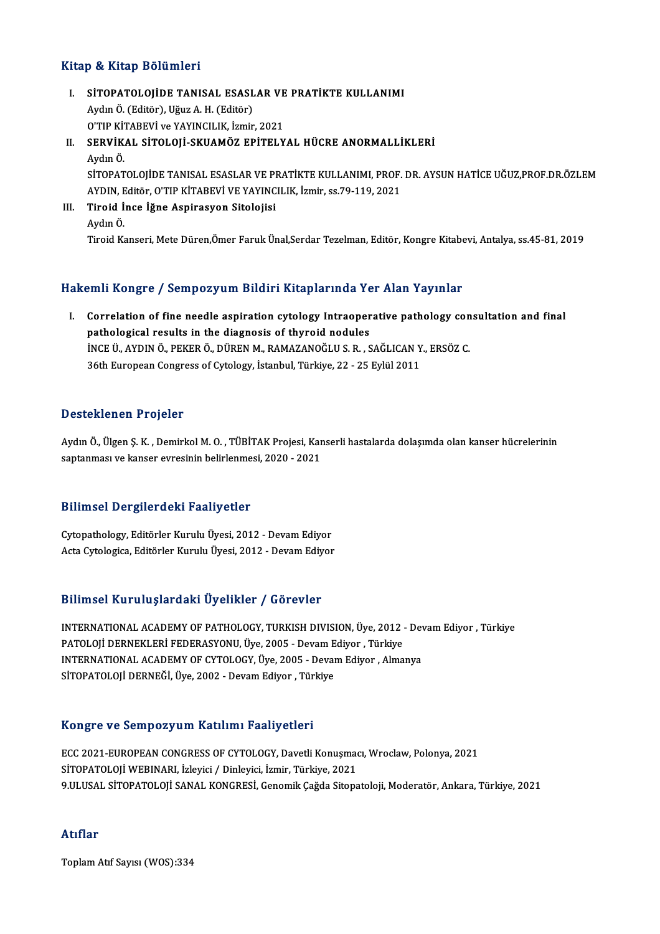#### Kitap & Kitap Bölümleri

Itap & Kitap Bölümleri<br>I. SİTOPATOLOJİDE TANISAL ESASLAR VE PRATİKTE KULLANIMI<br>Avdu Ö (Editör) Hğuz A H (Editör) SU ANUP DOMINION<br>SİTOPATOLOJİDE TANISAL ESASL<br>Aydın Ö. (Editör), Uğuz A. H. (Editör)<br>O'TIP KİTAPEVİ ve YAYINCU IK İsmin SİTOPATOLOJİDE TANISAL ESASLAR VE<br>Aydın Ö. (Editör), Uğuz A. H. (Editör)<br>O'TIP KİTABEVİ ve YAYINCILIK, İzmir, 2021<br>SERVİKAL SİTOLOJİ SKUAMÖZ ERİTELY Aydın Ö. (Editör), Uğuz A. H. (Editör)<br>O'TIP KİTABEVİ ve YAYINCILIK, İzmir, 2021<br>II. SERVİKAL SİTOLOJİ-SKUAMÖZ EPİTELYAL HÜCRE ANORMALLİKLERİ<br>Aydın Ö.

O'TIP Kİ'<br><mark>SERVİK</mark><br>Aydın Ö.<br>SİTOPAT SERVİKAL SİTOLOJİ-SKUAMÖZ EPİTELYAL HÜCRE ANORMALLİKLERİ<br>Aydın Ö.<br>AYDIN Editör O'TIP KİTAREVI VE YAYINCU IK İsmir 82.79.119.2921 Aydın Ö.<br>SİTOPATOLOJİDE TANISAL ESASLAR VE PRATİKTE KULLANIMI, PROF.<br>AYDIN, Editör, O'TIP KİTABEVİ VE YAYINCILIK, İzmir, ss.79-119, 2021<br>Tinoid İnge İğne Asninasyon Sitolojisi

AYDIN, Editör, O'TIP KİTABEVİ VE YAYINCILIK, İzmir, ss.79-119, 2021<br>III. Tiroid İnce İğne Aspirasyon Sitolojisi AydınÖ. Tiroid Kanseri, Mete Düren,Ömer Faruk Ünal,Serdar Tezelman, Editör, Kongre Kitabevi, Antalya, ss.45-81, 2019

#### Hakemli Kongre / Sempozyum Bildiri Kitaplarında Yer Alan Yayınlar

akemli Kongre / Sempozyum Bildiri Kitaplarında Yer Alan Yayınlar<br>I. Correlation of fine needle aspiration cytology Intraoperative pathology consultation and final<br>nathological results in the diagnesis of thureid nedules pathological results in the diagnosis of thyroid nodules<br>pathological results in the diagnosis of thyroid nodules<br>ince it avoin of persp of pupen M, pamazanoči u.s.p. Correlation of fine needle aspiration cytology Intraoperative pathology con<br>pathological results in the diagnosis of thyroid nodules<br>INCE Ü., AYDIN Ö., PEKER Ö., DÜREN M., RAMAZANOĞLU S. R. , SAĞLICAN Y., ERSÖZ C.<br>26th Eur pathological results in the diagnosis of thyroid nodules<br>INCE Ü., AYDIN Ö., PEKER Ö., DÜREN M., RAMAZANOĞLU S. R. , SAĞLICAN Y., ERSÖZ C.<br>36th European Congress of Cytology, İstanbul, Türkiye, 22 - 25 Eylül 2011

#### Desteklenen Projeler

Desteklenen Projeler<br>Aydın Ö., Ülgen Ş. K. , Demirkol M. O. , TÜBİTAK Projesi, Kanserli hastalarda dolaşımda olan kanser hücrelerinin<br>santanması ve kanser suresinin belirlenmesi 2020, 2021 s estektenen 11991er<br>Aydın Ö., Ülgen Ş. K. , Demirkol M. O. , TÜBİTAK Projesi, Kar<br>saptanması ve kanser evresinin belirlenmesi, 2020 - 2021 saptanması ve kanser evresinin belirlenmesi, 2020 - 2021<br>Bilimsel Dergilerdeki Faaliyetler

Cytopathology, Editörler Kurulu Üyesi, 2012 - Devam Ediyor Acta Cytologica, Editörler Kurulu Üyesi, 2012 - Devam Ediyor

#### Bilimsel KuruluşlardakiÜyelikler / Görevler

Bilimsel Kuruluşlardaki Üyelikler / Görevler<br>INTERNATIONAL ACADEMY OF PATHOLOGY, TURKISH DIVISION, Üye, 2012 - Devam Ediyor , Türkiye<br>PATOLOU DEPNEKLERİ EEDERASYONU Üye 2005 - Devam Ediyor, Türkiye PATOLOJİ DERNEKLERİ FEDERASYONU, Üye, 2005 - Devam Ediyor ,Üye, 2012<br>PATOLOJİ DERNEKLERİ FEDERASYONU, Üye, 2005 - Devam Ediyor , Türkiye<br>INTERNATIONAL ACADEMY OF CYTOLOGY İlve 2005 - Devam Ediyor , Alma INTERNATIONAL ACADEMY OF PATHOLOGY, TURKISH DIVISION, Üye, 2012 - Dev<br>PATOLOJİ DERNEKLERİ FEDERASYONU, Üye, 2005 - Devam Ediyor , Türkiye<br>INTERNATIONAL ACADEMY OF CYTOLOGY, Üye, 2005 - Devam Ediyor , Almanya<br>SİTORATOLOJİ D PATOLOJİ DERNEKLERİ FEDERASYONU, Üye, 2005 - Devam E<br>INTERNATIONAL ACADEMY OF CYTOLOGY, Üye, 2005 - Devaı<br>SİTOPATOLOJİ DERNEĞİ, Üye, 2002 - Devam Ediyor , Türkiye SİTOPATOLOJİ DERNEĞİ, Üye, 2002 - Devam Ediyor , Türkiye<br>Kongre ve Sempozyum Katılımı Faaliyetleri

ECC 2021-EUROPEAN CONGRESS OF CYTOLOGY, Davetli Konuşmacı, Wroclaw, Polonya, 2021 SİTOPATOLOJİ WEBINARI, İzleyici / Dinleyici, İzmir, Türkiye, 2021 9.ULUSAL SİTOPATOLOJİ SANAL KONGRESİ, Genomik Çağda Sitopatoloji, Moderatör, Ankara, Türkiye, 2021

#### Atıflar

ToplamAtıf Sayısı (WOS):334